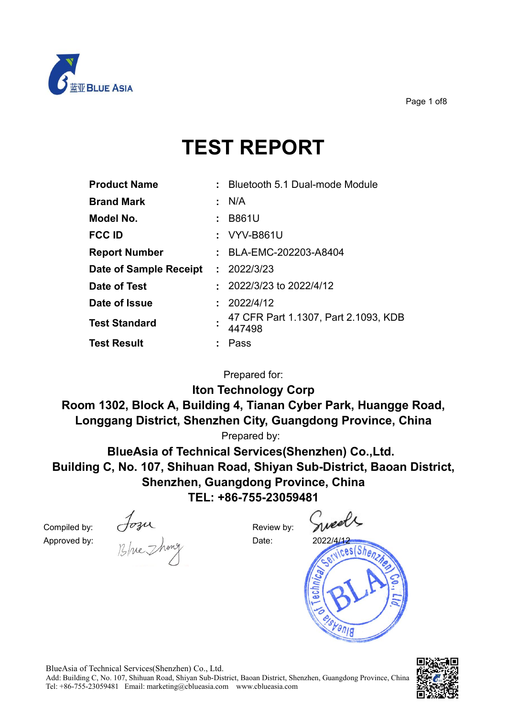

Page 1 of8

# **TEST REPORT**

| <b>Product Name</b>    |                               | Bluetooth 5.1 Dual-mode Module                 |
|------------------------|-------------------------------|------------------------------------------------|
| <b>Brand Mark</b>      |                               | $\cdot$ N/A                                    |
| Model No.              |                               | : B861U                                        |
| <b>FCC ID</b>          |                               | : VYV-B861U                                    |
| <b>Report Number</b>   |                               | : BLA-EMC-202203-A8404                         |
| Date of Sample Receipt | $\mathcal{L}^{\mathcal{L}}$ . | 2022/3/23                                      |
| Date of Test           |                               | $: 2022/3/23$ to 2022/4/12                     |
| Date of Issue          |                               | : 2022/4/12                                    |
| <b>Test Standard</b>   |                               | 47 CFR Part 1.1307, Part 2.1093, KDB<br>447498 |
| <b>Test Result</b>     |                               | Pass                                           |

Prepared for:

**Iton Technology Corp**

**Room 1302, Block A, Building 4, Tianan Cyber Park, Huangge Road, Longgang District, Shenzhen City, Guangdong Province, China**

Prepared by:

**BlueAsia of Technical Services(Shenzhen) Co.,Ltd. Building C, No. 107, Shihuan Road, Shiyan Sub-District, Baoan District, Shenzhen, Guangdong Province, China TEL: +86-755-23059481**

Compiled by:  $\bigcirc^{\circ}$   $\longrightarrow$  Review by:  $\bigwedge^{\bullet}$ Approved by: Date: 2022/<u>4/12</u>



BlueAsia of Technical Services(Shenzhen) Co., Ltd.

Add: Building C, No. 107, Shihuan Road, Shiyan Sub-District, Baoan District, Shenzhen, Guangdong Province, China Tel: +86-755-23059481 Email: marketing@cblueasia.com www.cblueasia.com

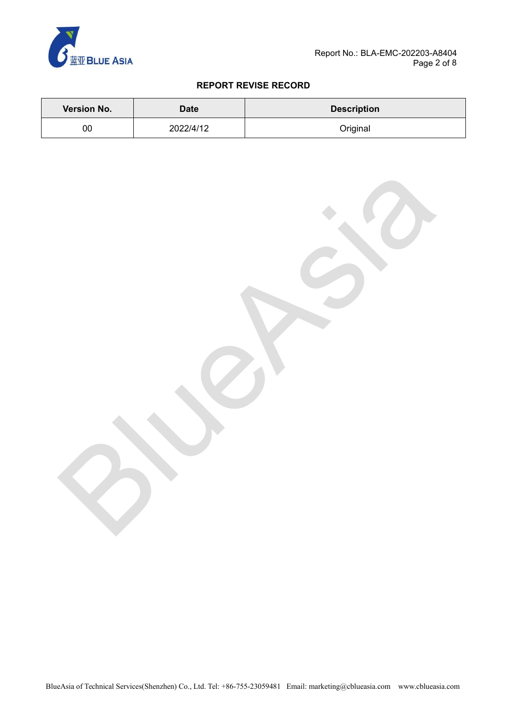

### **REPORT REVISE RECORD**

| <b>Version No.</b> | <b>Date</b> | <b>Description</b> |
|--------------------|-------------|--------------------|
| 00                 | 2022/4/12   | Original           |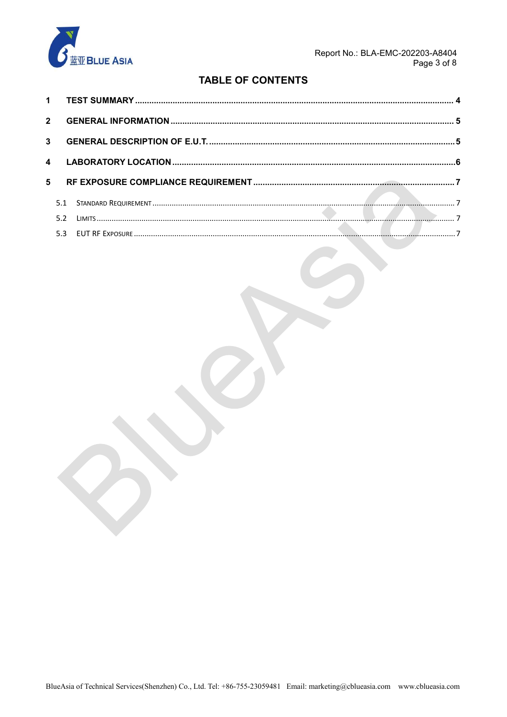

 $\sum_{i=1}^{n}$ 

# **TABLE OF CONTENTS**

| $2^{\circ}$      |     |  |
|------------------|-----|--|
|                  |     |  |
| $\blacktriangle$ |     |  |
| 5                |     |  |
|                  |     |  |
|                  | 5.2 |  |
|                  |     |  |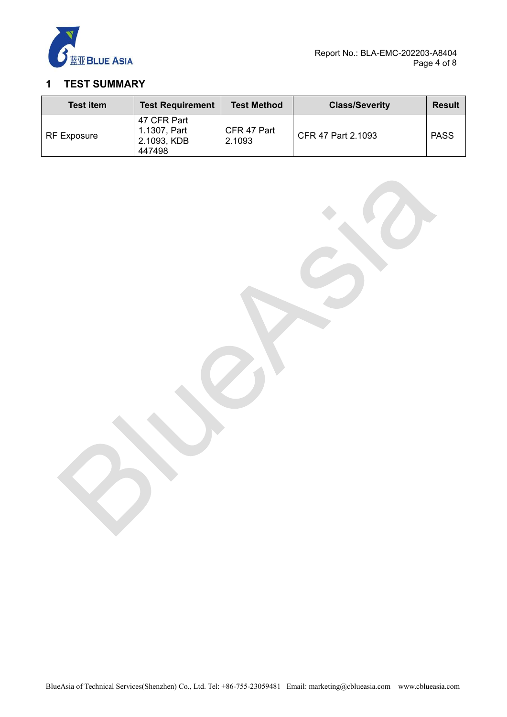

# <span id="page-3-0"></span>**1 TEST SUMMARY**

| <b>Test item</b>   | <b>Test Requirement</b>                              | <b>Test Method</b>    | <b>Class/Severity</b> | <b>Result</b> |
|--------------------|------------------------------------------------------|-----------------------|-----------------------|---------------|
| <b>RF Exposure</b> | 47 CFR Part<br>1.1307, Part<br>2.1093, KDB<br>447498 | CFR 47 Part<br>2.1093 | CFR 47 Part 2.1093    | <b>PASS</b>   |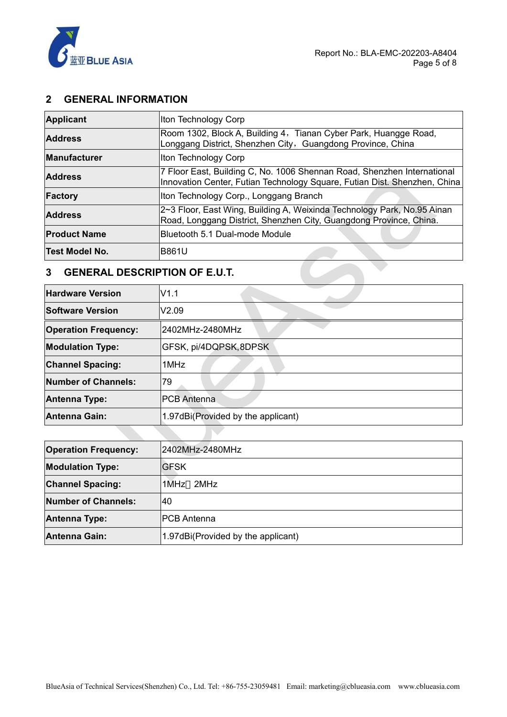

## <span id="page-4-0"></span>**2 GENERAL INFORMATION**

| Applicant             | Iton Technology Corp                                                                                                                                 |  |  |  |
|-----------------------|------------------------------------------------------------------------------------------------------------------------------------------------------|--|--|--|
| <b>Address</b>        | Room 1302, Block A, Building 4, Tianan Cyber Park, Huangge Road,<br>Longgang District, Shenzhen City, Guangdong Province, China                      |  |  |  |
| <b>Manufacturer</b>   | Iton Technology Corp                                                                                                                                 |  |  |  |
| <b>Address</b>        | 7 Floor East, Building C, No. 1006 Shennan Road, Shenzhen International<br>Innovation Center, Futian Technology Square, Futian Dist. Shenzhen, China |  |  |  |
| Factory               | Iton Technology Corp., Longgang Branch                                                                                                               |  |  |  |
| <b>Address</b>        | 2~3 Floor, East Wing, Building A, Weixinda Technology Park, No.95 Ainan<br>Road, Longgang District, Shenzhen City, Guangdong Province, China.        |  |  |  |
| <b>Product Name</b>   | <b>Bluetooth 5.1 Dual-mode Module</b>                                                                                                                |  |  |  |
| <b>Test Model No.</b> | <b>B861U</b>                                                                                                                                         |  |  |  |

# <span id="page-4-1"></span>**13 GENERAL DESCRIPTION OF E.U.T.**

| <b>Address</b>                            | Road, Longgang District, Shenzhen City, Guangdong Province, China. |  |  |  |
|-------------------------------------------|--------------------------------------------------------------------|--|--|--|
| <b>Product Name</b>                       | Bluetooth 5.1 Dual-mode Module                                     |  |  |  |
| <b>Test Model No.</b>                     | <b>B861U</b>                                                       |  |  |  |
| <b>GENERAL DESCRIPTION OF E.U.T.</b><br>3 |                                                                    |  |  |  |
| <b>Hardware Version</b>                   | V1.1                                                               |  |  |  |
| <b>Software Version</b>                   | V2.09                                                              |  |  |  |
| <b>Operation Frequency:</b>               | 2402MHz-2480MHz                                                    |  |  |  |
| <b>Modulation Type:</b>                   | GFSK, pi/4DQPSK, 8DPSK                                             |  |  |  |
| <b>Channel Spacing:</b>                   | 1MHz                                                               |  |  |  |
| <b>Number of Channels:</b>                | 79                                                                 |  |  |  |
| Antenna Type:                             | <b>PCB Antenna</b>                                                 |  |  |  |
| <b>Antenna Gain:</b>                      | 1.97dBi(Provided by the applicant)                                 |  |  |  |

| <b>Operation Frequency:</b> | 2402MHz-2480MHz                    |
|-----------------------------|------------------------------------|
| <b>Modulation Type:</b>     | <b>IGFSK</b>                       |
| <b>Channel Spacing:</b>     | 1MHz 2MHz                          |
| <b>Number of Channels:</b>  | 40                                 |
| <b>Antenna Type:</b>        | IPCB Antenna                       |
| Antenna Gain:               | 1.97dBi(Provided by the applicant) |

 $\Delta \Delta \phi$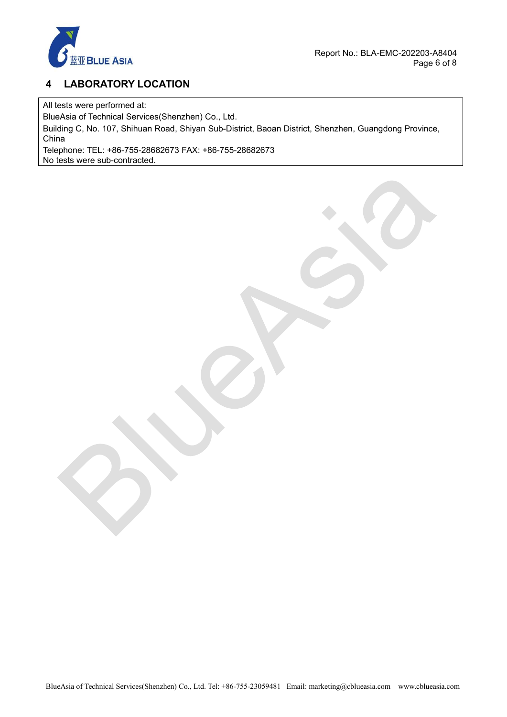

# <span id="page-5-0"></span>**4 LABORATORY LOCATION**

All tests were performed at:

BlueAsia of Technical Services(Shenzhen) Co., Ltd.

Building C, No. 107, Shihuan Road, Shiyan Sub-District, Baoan District, Shenzhen, Guangdong Province, China

Telephone: TEL: +86-755-28682673 FAX: +86-755-28682673 No tests were sub-contracted.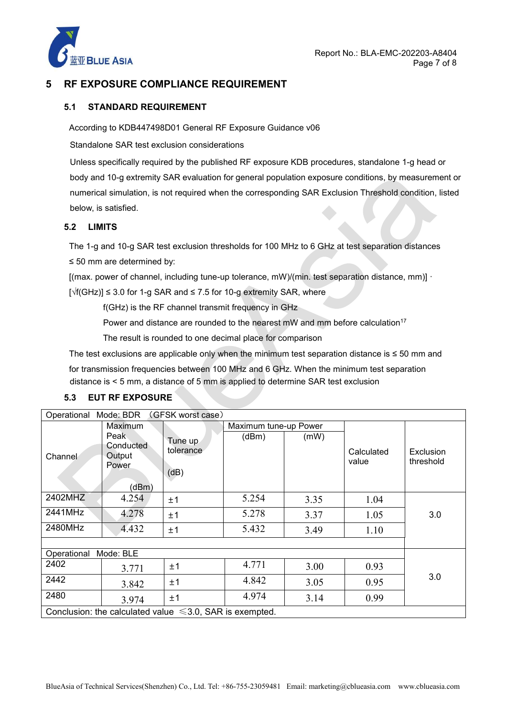

## <span id="page-6-0"></span>**5 RF EXPOSURE COMPLIANCE REQUIREMENT**

#### <span id="page-6-1"></span>**5.1 STANDARD REQUIREMENT**

According to KDB447498D01 General RF Exposure Guidance v06

Standalone SAR test exclusion considerations

Unless specifically required by the published RF exposure KDB procedures, standalone 1-g head or body and 10-g extremity SAR evaluation for general population exposure conditions, by measurement or numerical simulation, is not required when the corresponding SAR Exclusion Threshold condition, listed below, is satisfied.

#### <span id="page-6-2"></span>**5.2 LIMITS**

The 1-g and 10-g SAR test exclusion thresholds for 100 MHz to 6 GHz at test separation distances ≤ 50 mm are determined by:

[(max. power of channel, including tune-up tolerance, mW)/(min. test separation distance, mm)]  $\cdot$ 

[√f(GHz)] ≤ 3.0 for 1-g SAR and ≤ 7.5 for 10-g extremity SAR, where

f(GHz) is the RF channel transmit frequency in GHz

Power and distance are rounded to the nearest mW and mm before calculation $^{\mathsf{17}}$ 

The result is rounded to one decimal place for comparison

The test exclusions are applicable only when the minimum test separation distance is ≤ 50 mm and

for transmission frequencies between 100 MHz and 6 GHz. When the minimum test separation distance is< 5 mm, a distance of 5 mm is applied to determine SAR test exclusion

| Operational Mode: BDR |                                               | (GFSK worst case)                                             |                       |      |                     |                        |
|-----------------------|-----------------------------------------------|---------------------------------------------------------------|-----------------------|------|---------------------|------------------------|
|                       | Maximum                                       |                                                               | Maximum tune-up Power |      |                     |                        |
| Channel               | Peak<br>Conducted<br>Output<br>Power<br>(dBm) | Tune up<br>tolerance<br>(dB)                                  | (dBm)                 | (mW) | Calculated<br>value | Exclusion<br>threshold |
| 2402MHZ               | 4.254                                         | ±1                                                            | 5.254                 | 3.35 | 1.04                |                        |
| 2441MHz               | 4.278                                         | ±1                                                            | 5.278                 | 3.37 | 1.05                | 3.0                    |
| 2480MHz               | 4.432                                         | ±1                                                            | 5.432                 | 3.49 | 1.10                |                        |
|                       |                                               |                                                               |                       |      |                     |                        |
| Operational           | Mode: BLE                                     |                                                               |                       |      |                     |                        |
| 2402                  | 3.771                                         | ±1                                                            | 4.771                 | 3.00 | 0.93                | 3.0                    |
| 2442                  | 3.842                                         | ±1                                                            | 4.842                 | 3.05 | 0.95                |                        |
| 2480                  | 3.974                                         | ±1                                                            | 4.974                 | 3.14 | 0.99                |                        |
|                       |                                               | Conclusion: the calculated value $\leq$ 3.0, SAR is exempted. |                       |      |                     |                        |

#### <span id="page-6-3"></span>**5.3 EUT RF EXPOSURE**